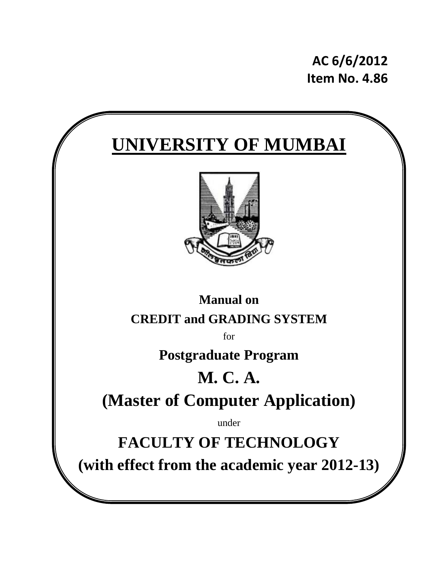**AC 6/6/2012 Item No. 4.86**

# **UNIVERSITY OF MUMBAI**



### **Manual on CREDIT and GRADING SYSTEM**

for

### **Postgraduate Program**

# **M. C. A.**

## **(Master of Computer Application)**

under

## **FACULTY OF TECHNOLOGY**

**(with effect from the academic year 2012-13)**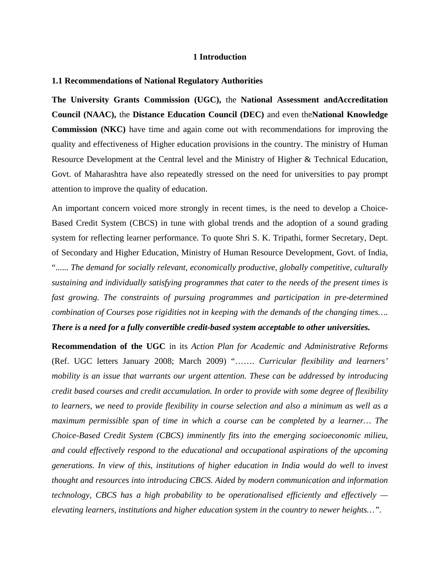#### **1 Introduction**

#### **1.1 Recommendations of National Regulatory Authorities**

**The University Grants Commission (UGC),** the **National Assessment andAccreditation Council (NAAC),** the **Distance Education Council (DEC)** and even the**National Knowledge Commission (NKC)** have time and again come out with recommendations for improving the quality and effectiveness of Higher education provisions in the country. The ministry of Human Resource Development at the Central level and the Ministry of Higher & Technical Education, Govt. of Maharashtra have also repeatedly stressed on the need for universities to pay prompt attention to improve the quality of education.

An important concern voiced more strongly in recent times, is the need to develop a Choice-Based Credit System (CBCS) in tune with global trends and the adoption of a sound grading system for reflecting learner performance. To quote Shri S. K. Tripathi, former Secretary, Dept. of Secondary and Higher Education, Ministry of Human Resource Development, Govt. of India, "...... *The demand for socially relevant, economically productive, globally competitive, culturally sustaining and individually satisfying programmes that cater to the needs of the present times is fast growing. The constraints of pursuing programmes and participation in pre-determined combination of Courses pose rigidities not in keeping with the demands of the changing times…. There is a need for a fully convertible credit-based system acceptable to other universities.* 

**Recommendation of the UGC** in its *Action Plan for Academic and Administrative Reforms*  (Ref. UGC letters January 2008; March 2009) "……. *Curricular flexibility and learners' mobility is an issue that warrants our urgent attention. These can be addressed by introducing credit based courses and credit accumulation. In order to provide with some degree of flexibility to learners, we need to provide flexibility in course selection and also a minimum as well as a maximum permissible span of time in which a course can be completed by a learner... The Choice-Based Credit System (CBCS) imminently fits into the emerging socioeconomic milieu, and could effectively respond to the educational and occupational aspirations of the upcoming generations. In view of this, institutions of higher education in India would do well to invest thought and resources into introducing CBCS. Aided by modern communication and information technology, CBCS has a high probability to be operationalised efficiently and effectively elevating learners, institutions and higher education system in the country to newer heights…".*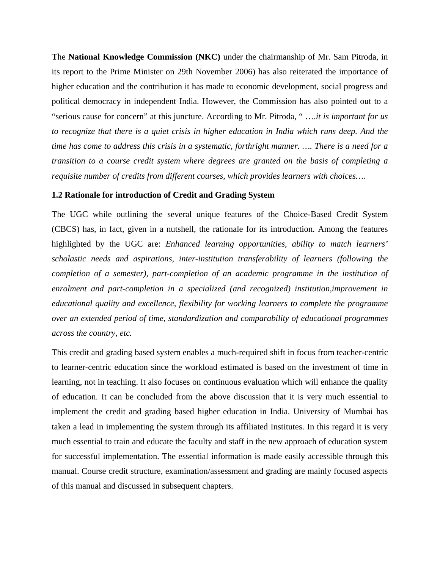**T**he **National Knowledge Commission (NKC)** under the chairmanship of Mr. Sam Pitroda, in its report to the Prime Minister on 29th November 2006) has also reiterated the importance of higher education and the contribution it has made to economic development, social progress and political democracy in independent India. However, the Commission has also pointed out to a "serious cause for concern" at this juncture. According to Mr. Pitroda, " ….*it is important for us to recognize that there is a quiet crisis in higher education in India which runs deep. And the time has come to address this crisis in a systematic, forthright manner. …. There is a need for a transition to a course credit system where degrees are granted on the basis of completing a requisite number of credits from different courses, which provides learners with choices….* 

#### **1.2 Rationale for introduction of Credit and Grading System**

The UGC while outlining the several unique features of the Choice-Based Credit System (CBCS) has, in fact, given in a nutshell, the rationale for its introduction. Among the features highlighted by the UGC are: *Enhanced learning opportunities, ability to match learners' scholastic needs and aspirations, inter-institution transferability of learners (following the completion of a semester), part-completion of an academic programme in the institution of enrolment and part-completion in a specialized (and recognized) institution,improvement in educational quality and excellence, flexibility for working learners to complete the programme over an extended period of time, standardization and comparability of educational programmes across the country, etc.* 

This credit and grading based system enables a much-required shift in focus from teacher-centric to learner-centric education since the workload estimated is based on the investment of time in learning, not in teaching. It also focuses on continuous evaluation which will enhance the quality of education. It can be concluded from the above discussion that it is very much essential to implement the credit and grading based higher education in India. University of Mumbai has taken a lead in implementing the system through its affiliated Institutes. In this regard it is very much essential to train and educate the faculty and staff in the new approach of education system for successful implementation. The essential information is made easily accessible through this manual. Course credit structure, examination/assessment and grading are mainly focused aspects of this manual and discussed in subsequent chapters.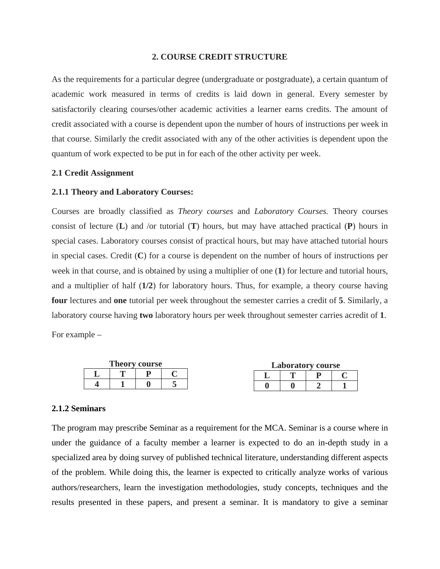#### **2. COURSE CREDIT STRUCTURE**

As the requirements for a particular degree (undergraduate or postgraduate), a certain quantum of academic work measured in terms of credits is laid down in general. Every semester by satisfactorily clearing courses/other academic activities a learner earns credits. The amount of credit associated with a course is dependent upon the number of hours of instructions per week in that course. Similarly the credit associated with any of the other activities is dependent upon the quantum of work expected to be put in for each of the other activity per week.

#### **2.1 Credit Assignment**

#### **2.1.1 Theory and Laboratory Courses:**

Courses are broadly classified as *Theory courses* and *Laboratory Courses.* Theory courses consist of lecture (**L**) and /or tutorial (**T**) hours, but may have attached practical (**P**) hours in special cases. Laboratory courses consist of practical hours, but may have attached tutorial hours in special cases. Credit (**C**) for a course is dependent on the number of hours of instructions per week in that course, and is obtained by using a multiplier of one (**1**) for lecture and tutorial hours, and a multiplier of half (**1/2**) for laboratory hours. Thus, for example, a theory course having **four** lectures and **one** tutorial per week throughout the semester carries a credit of **5**. Similarly, a laboratory course having **two** laboratory hours per week throughout semester carries acredit of **1**.

For example –

| <b>Theory course</b> |  |  | <b>Laboratory course</b> |  |  |  |  |
|----------------------|--|--|--------------------------|--|--|--|--|
|                      |  |  |                          |  |  |  |  |
|                      |  |  |                          |  |  |  |  |

#### **2.1.2 Seminars**

The program may prescribe Seminar as a requirement for the MCA. Seminar is a course where in under the guidance of a faculty member a learner is expected to do an in-depth study in a specialized area by doing survey of published technical literature, understanding different aspects of the problem. While doing this, the learner is expected to critically analyze works of various authors/researchers, learn the investigation methodologies, study concepts, techniques and the results presented in these papers, and present a seminar. It is mandatory to give a seminar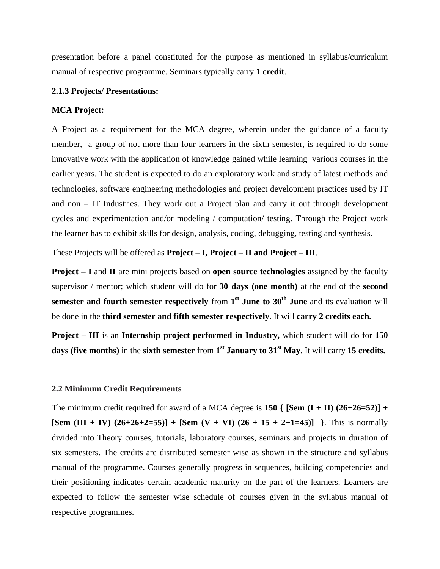presentation before a panel constituted for the purpose as mentioned in syllabus/curriculum manual of respective programme. Seminars typically carry **1 credit**.

#### **2.1.3 Projects/ Presentations:**

#### **MCA Project:**

A Project as a requirement for the MCA degree, wherein under the guidance of a faculty member, a group of not more than four learners in the sixth semester, is required to do some innovative work with the application of knowledge gained while learning various courses in the earlier years. The student is expected to do an exploratory work and study of latest methods and technologies, software engineering methodologies and project development practices used by IT and non – IT Industries. They work out a Project plan and carry it out through development cycles and experimentation and/or modeling / computation/ testing. Through the Project work the learner has to exhibit skills for design, analysis, coding, debugging, testing and synthesis.

These Projects will be offered as **Project – I, Project – II and Project – III**.

**Project – I** and **II** are mini projects based on **open source technologies** assigned by the faculty supervisor / mentor; which student will do for **30 days (one month)** at the end of the **second semester and fourth semester respectively** from 1<sup>st</sup> June to 30<sup>th</sup> June and its evaluation will be done in the **third semester and fifth semester respectively**. It will **carry 2 credits each.**

**Project – III** is an **Internship project performed in Industry,** which student will do for **150 days (five months)** in the **sixth semester** from **1st January to 31st May**. It will carry **15 credits.**

#### **2.2 Minimum Credit Requirements**

The minimum credit required for award of a MCA degree is **150** {  $\text{Sem}$   $(I + II)$   $(26+26=52)$ } + **[Sem (III + IV)**  $(26+26+2=55)$ **] + [Sem (V + VI)**  $(26 + 15 + 2+1=45)$ **]** }. This is normally divided into Theory courses, tutorials, laboratory courses, seminars and projects in duration of six semesters. The credits are distributed semester wise as shown in the structure and syllabus manual of the programme. Courses generally progress in sequences, building competencies and their positioning indicates certain academic maturity on the part of the learners. Learners are expected to follow the semester wise schedule of courses given in the syllabus manual of respective programmes.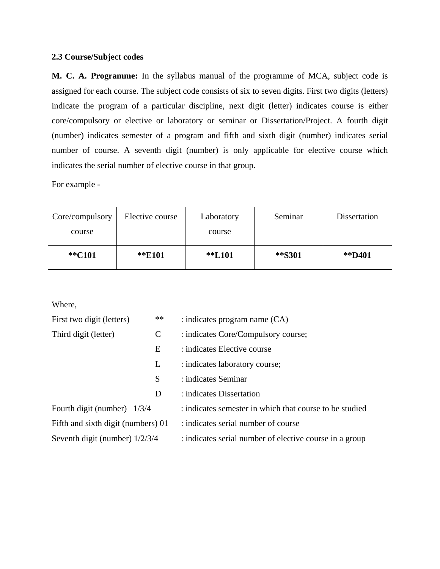#### **2.3 Course/Subject codes**

**M. C. A. Programme:** In the syllabus manual of the programme of MCA, subject code is assigned for each course. The subject code consists of six to seven digits. First two digits (letters) indicate the program of a particular discipline, next digit (letter) indicates course is either core/compulsory or elective or laboratory or seminar or Dissertation/Project. A fourth digit (number) indicates semester of a program and fifth and sixth digit (number) indicates serial number of course. A seventh digit (number) is only applicable for elective course which indicates the serial number of elective course in that group.

For example -

| Core/compulsory | Elective course | Laboratory | Seminar | Dissertation |
|-----------------|-----------------|------------|---------|--------------|
| course          |                 | course     |         |              |
| **C101          | **E101          | **L101     | **S301  | **D401       |
|                 |                 |            |         |              |

Where,

| First two digit (letters)          | $**$ | $:$ indicates program name $(CA)$                       |
|------------------------------------|------|---------------------------------------------------------|
| Third digit (letter)<br>C          |      | : indicates Core/Compulsory course;                     |
|                                    | E    | : indicates Elective course                             |
|                                    | L    | : indicates laboratory course;                          |
|                                    | S    | : indicates Seminar                                     |
|                                    | D    | : indicates Dissertation                                |
| Fourth digit (number) $1/3/4$      |      | : indicates semester in which that course to be studied |
| Fifth and sixth digit (numbers) 01 |      | : indicates serial number of course                     |
| Seventh digit (number) $1/2/3/4$   |      | : indicates serial number of elective course in a group |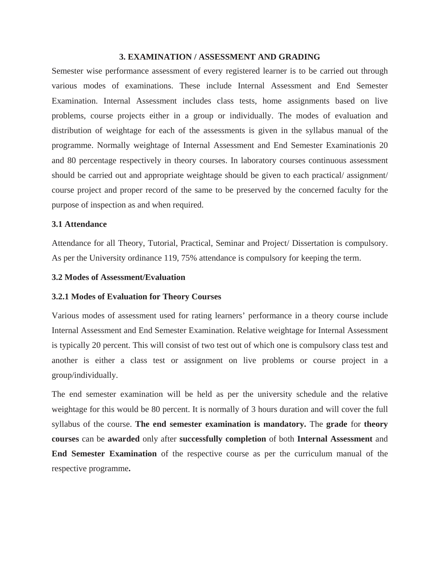#### **3. EXAMINATION / ASSESSMENT AND GRADING**

Semester wise performance assessment of every registered learner is to be carried out through various modes of examinations. These include Internal Assessment and End Semester Examination. Internal Assessment includes class tests, home assignments based on live problems, course projects either in a group or individually. The modes of evaluation and distribution of weightage for each of the assessments is given in the syllabus manual of the programme. Normally weightage of Internal Assessment and End Semester Examinationis 20 and 80 percentage respectively in theory courses. In laboratory courses continuous assessment should be carried out and appropriate weightage should be given to each practical/ assignment/ course project and proper record of the same to be preserved by the concerned faculty for the purpose of inspection as and when required.

#### **3.1 Attendance**

Attendance for all Theory, Tutorial, Practical, Seminar and Project/ Dissertation is compulsory. As per the University ordinance 119, 75% attendance is compulsory for keeping the term.

#### **3.2 Modes of Assessment/Evaluation**

#### **3.2.1 Modes of Evaluation for Theory Courses**

Various modes of assessment used for rating learners' performance in a theory course include Internal Assessment and End Semester Examination. Relative weightage for Internal Assessment is typically 20 percent. This will consist of two test out of which one is compulsory class test and another is either a class test or assignment on live problems or course project in a group/individually.

The end semester examination will be held as per the university schedule and the relative weightage for this would be 80 percent. It is normally of 3 hours duration and will cover the full syllabus of the course. **The end semester examination is mandatory.** The **grade** for **theory courses** can be **awarded** only after **successfully completion** of both **Internal Assessment** and **End Semester Examination** of the respective course as per the curriculum manual of the respective programme**.**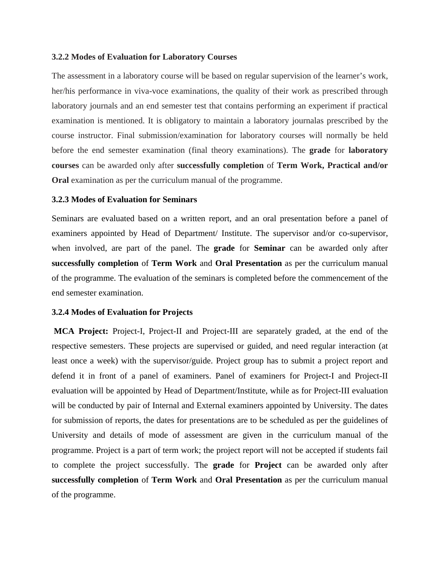#### **3.2.2 Modes of Evaluation for Laboratory Courses**

The assessment in a laboratory course will be based on regular supervision of the learner's work, her/his performance in viva-voce examinations, the quality of their work as prescribed through laboratory journals and an end semester test that contains performing an experiment if practical examination is mentioned. It is obligatory to maintain a laboratory journalas prescribed by the course instructor. Final submission/examination for laboratory courses will normally be held before the end semester examination (final theory examinations). The **grade** for **laboratory courses** can be awarded only after **successfully completion** of **Term Work, Practical and/or Oral** examination as per the curriculum manual of the programme.

#### **3.2.3 Modes of Evaluation for Seminars**

Seminars are evaluated based on a written report, and an oral presentation before a panel of examiners appointed by Head of Department/ Institute. The supervisor and/or co-supervisor, when involved, are part of the panel. The **grade** for **Seminar** can be awarded only after **successfully completion** of **Term Work** and **Oral Presentation** as per the curriculum manual of the programme. The evaluation of the seminars is completed before the commencement of the end semester examination.

#### **3.2.4 Modes of Evaluation for Projects**

 **MCA Project:** Project-I, Project-II and Project-III are separately graded, at the end of the respective semesters. These projects are supervised or guided, and need regular interaction (at least once a week) with the supervisor/guide. Project group has to submit a project report and defend it in front of a panel of examiners. Panel of examiners for Project-I and Project-II evaluation will be appointed by Head of Department/Institute, while as for Project-III evaluation will be conducted by pair of Internal and External examiners appointed by University. The dates for submission of reports, the dates for presentations are to be scheduled as per the guidelines of University and details of mode of assessment are given in the curriculum manual of the programme. Project is a part of term work; the project report will not be accepted if students fail to complete the project successfully. The **grade** for **Project** can be awarded only after **successfully completion** of **Term Work** and **Oral Presentation** as per the curriculum manual of the programme.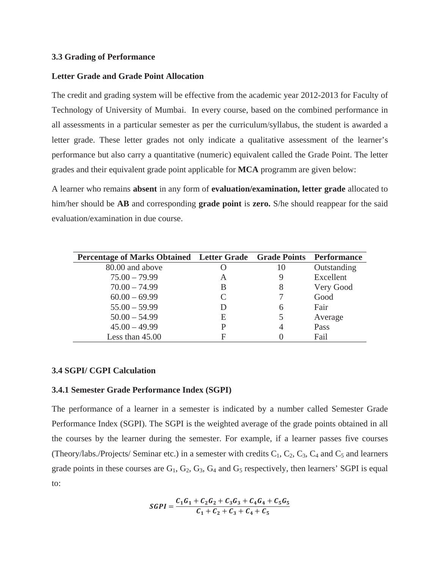#### **3.3 Grading of Performance**

#### **Letter Grade and Grade Point Allocation**

The credit and grading system will be effective from the academic year 2012-2013 for Faculty of Technology of University of Mumbai. In every course, based on the combined performance in all assessments in a particular semester as per the curriculum/syllabus, the student is awarded a letter grade. These letter grades not only indicate a qualitative assessment of the learner's performance but also carry a quantitative (numeric) equivalent called the Grade Point. The letter grades and their equivalent grade point applicable for **MCA** programm are given below:

A learner who remains **absent** in any form of **evaluation/examination, letter grade** allocated to him/her should be **AB** and corresponding **grade point** is **zero.** S/he should reappear for the said evaluation/examination in due course.

| Percentage of Marks Obtained Letter Grade Grade Points |                             |    | <b>Performance</b> |
|--------------------------------------------------------|-----------------------------|----|--------------------|
| 80.00 and above                                        |                             | 10 | Outstanding        |
| $75.00 - 79.99$                                        | А                           |    | Excellent          |
| $70.00 - 74.99$                                        | B                           | 8  | Very Good          |
| $60.00 - 69.99$                                        | $\mathcal{C}_{\mathcal{C}}$ |    | Good               |
| $55.00 - 59.99$                                        | D                           |    | Fair               |
| $50.00 - 54.99$                                        | E                           |    | Average            |
| $45.00 - 49.99$                                        | P                           |    | Pass               |
| Less than 45.00                                        | F                           |    | Fail               |

#### **3.4 SGPI/ CGPI Calculation**

#### **3.4.1 Semester Grade Performance Index (SGPI)**

The performance of a learner in a semester is indicated by a number called Semester Grade Performance Index (SGPI). The SGPI is the weighted average of the grade points obtained in all the courses by the learner during the semester. For example, if a learner passes five courses (Theory/labs./Projects/ Seminar etc.) in a semester with credits  $C_1$ ,  $C_2$ ,  $C_3$ ,  $C_4$  and  $C_5$  and learners grade points in these courses are  $G_1$ ,  $G_2$ ,  $G_3$ ,  $G_4$  and  $G_5$  respectively, then learners' SGPI is equal to:

$$
SGPI = \frac{C_1G_1 + C_2G_2 + C_3G_3 + C_4G_4 + C_5G_5}{C_1 + C_2 + C_3 + C_4 + C_5}
$$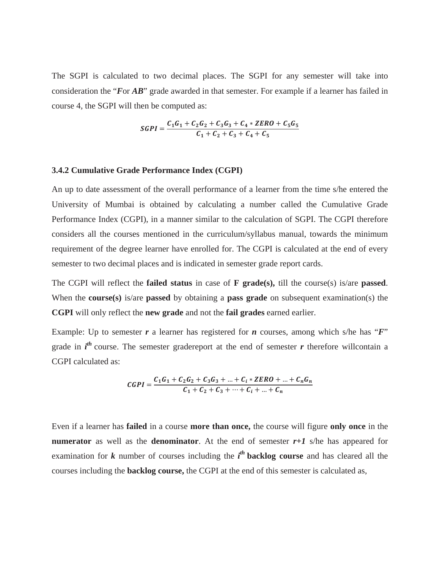The SGPI is calculated to two decimal places. The SGPI for any semester will take into consideration the "*F*or *AB*" grade awarded in that semester. For example if a learner has failed in course 4, the SGPI will then be computed as:

$$
SGPI = \frac{C_1G_1 + C_2G_2 + C_3G_3 + C_4 * ZERO + C_5G_5}{C_1 + C_2 + C_3 + C_4 + C_5}
$$

#### **3.4.2 Cumulative Grade Performance Index (CGPI)**

An up to date assessment of the overall performance of a learner from the time s/he entered the University of Mumbai is obtained by calculating a number called the Cumulative Grade Performance Index (CGPI), in a manner similar to the calculation of SGPI. The CGPI therefore considers all the courses mentioned in the curriculum/syllabus manual, towards the minimum requirement of the degree learner have enrolled for. The CGPI is calculated at the end of every semester to two decimal places and is indicated in semester grade report cards.

The CGPI will reflect the **failed status** in case of **F grade(s),** till the course(s) is/are **passed**. When the **course(s)** is/are **passed** by obtaining a **pass grade** on subsequent examination(s) the **CGPI** will only reflect the **new grade** and not the **fail grades** earned earlier.

Example: Up to semester *r* a learner has registered for *n* courses, among which s/he has "*F*" grade in  $i<sup>th</sup>$  course. The semester gradereport at the end of semester  $r$  therefore willcontain a CGPI calculated as:

$$
CGPI = \frac{C_1G_1 + C_2G_2 + C_3G_3 + ... + C_i \times ZERO + ... + C_nG_n}{C_1 + C_2 + C_3 + ... + C_i + ... + C_n}
$$

Even if a learner has **failed** in a course **more than once,** the course will figure **only once** in the **numerator** as well as the **denominator**. At the end of semester  $r+1$  s/he has appeared for examination for  $k$  number of courses including the  $i<sup>th</sup>$  **backlog course** and has cleared all the courses including the **backlog course,** the CGPI at the end of this semester is calculated as,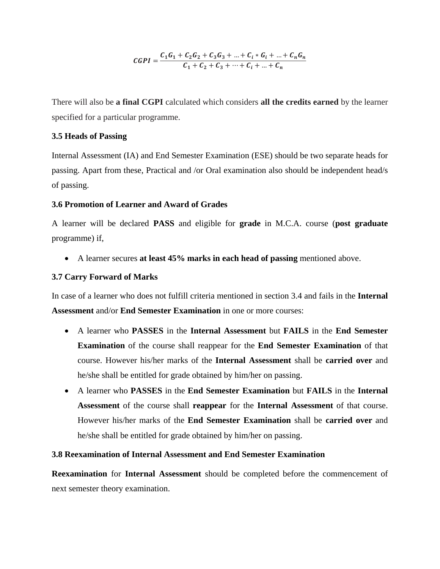$$
CGPI = \frac{C_1G_1 + C_2G_2 + C_3G_3 + ... + C_i * G_i + ... + C_nG_n}{C_1 + C_2 + C_3 + ... + C_i + ... + C_n}
$$

There will also be **a final CGPI** calculated which considers **all the credits earned** by the learner specified for a particular programme.

#### **3.5 Heads of Passing**

Internal Assessment (IA) and End Semester Examination (ESE) should be two separate heads for passing. Apart from these, Practical and /or Oral examination also should be independent head/s of passing.

#### **3.6 Promotion of Learner and Award of Grades**

A learner will be declared **PASS** and eligible for **grade** in M.C.A. course (**post graduate**  programme) if,

• A learner secures **at least 45% marks in each head of passing** mentioned above.

#### **3.7 Carry Forward of Marks**

In case of a learner who does not fulfill criteria mentioned in section 3.4 and fails in the **Internal Assessment** and/or **End Semester Examination** in one or more courses:

- A learner who **PASSES** in the **Internal Assessment** but **FAILS** in the **End Semester Examination** of the course shall reappear for the **End Semester Examination** of that course. However his/her marks of the **Internal Assessment** shall be **carried over** and he/she shall be entitled for grade obtained by him/her on passing.
- A learner who **PASSES** in the **End Semester Examination** but **FAILS** in the **Internal Assessment** of the course shall **reappear** for the **Internal Assessment** of that course. However his/her marks of the **End Semester Examination** shall be **carried over** and he/she shall be entitled for grade obtained by him/her on passing.

#### **3.8 Reexamination of Internal Assessment and End Semester Examination**

**Reexamination** for **Internal Assessment** should be completed before the commencement of next semester theory examination.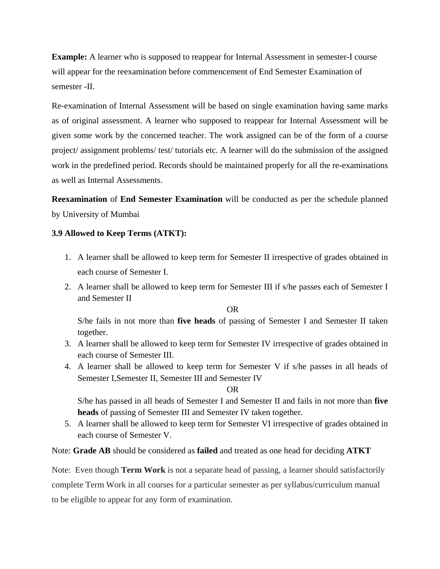**Example:** A learner who is supposed to reappear for Internal Assessment in semester-I course will appear for the reexamination before commencement of End Semester Examination of semester -II.

Re-examination of Internal Assessment will be based on single examination having same marks as of original assessment. A learner who supposed to reappear for Internal Assessment will be given some work by the concerned teacher. The work assigned can be of the form of a course project/ assignment problems/ test/ tutorials etc. A learner will do the submission of the assigned work in the predefined period. Records should be maintained properly for all the re-examinations as well as Internal Assessments.

**Reexamination** of **End Semester Examination** will be conducted as per the schedule planned by University of Mumbai

#### **3.9 Allowed to Keep Terms (ATKT):**

- 1. A learner shall be allowed to keep term for Semester II irrespective of grades obtained in each course of Semester I.
- 2. A learner shall be allowed to keep term for Semester III if s/he passes each of Semester I and Semester II

OR

S/he fails in not more than **five heads** of passing of Semester I and Semester II taken together.

- 3. A learner shall be allowed to keep term for Semester IV irrespective of grades obtained in each course of Semester III.
- 4. A learner shall be allowed to keep term for Semester V if s/he passes in all heads of Semester I,Semester II, Semester III and Semester IV

OR

S/he has passed in all heads of Semester I and Semester II and fails in not more than **five heads** of passing of Semester III and Semester IV taken together.

5. A learner shall be allowed to keep term for Semester VI irrespective of grades obtained in each course of Semester V.

Note: **Grade AB** should be considered as **failed** and treated as one head for deciding **ATKT**

Note: Even though **Term Work** is not a separate head of passing, a learner should satisfactorily complete Term Work in all courses for a particular semester as per syllabus/curriculum manual to be eligible to appear for any form of examination.